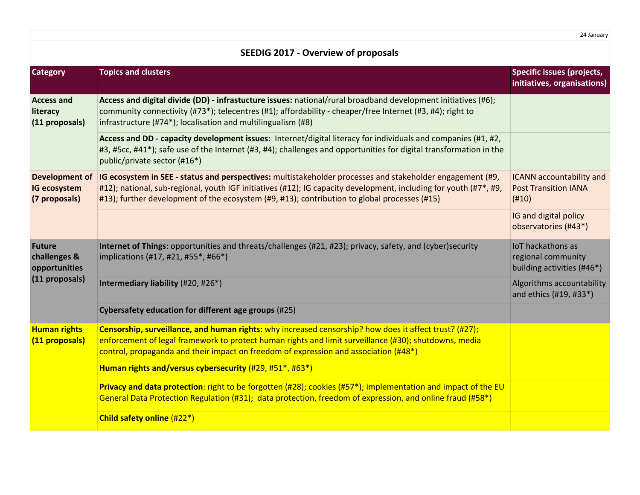24 January

| <b>SEEDIG 2017 - Overview of proposals</b>                       |                                                                                                                                                                                                                                                                                                                                |                                                                         |
|------------------------------------------------------------------|--------------------------------------------------------------------------------------------------------------------------------------------------------------------------------------------------------------------------------------------------------------------------------------------------------------------------------|-------------------------------------------------------------------------|
| <b>Category</b>                                                  | <b>Topics and clusters</b>                                                                                                                                                                                                                                                                                                     | <b>Specific issues (projects,</b><br>initiatives, organisations)        |
| <b>Access and</b><br>literacy<br>(11 proposals)                  | Access and digital divide (DD) - infrastucture issues: national/rural broadband development initiatives (#6);<br>community connectivity (#73*); telecentres (#1); affordability - cheaper/free Internet (#3, #4); right to<br>infrastructure (#74*); localisation and multilingualism (#8)                                     |                                                                         |
|                                                                  | Access and DD - capacity development issues: Internet/digital literacy for individuals and companies (#1, #2,<br>#3, #5cc, #41*); safe use of the Internet (#3, #4); challenges and opportunities for digital transformation in the<br>public/private sector (#16*)                                                            |                                                                         |
| <b>Development of</b><br><b>IG ecosystem</b><br>(7 proposals)    | IG ecosystem in SEE - status and perspectives: multistakeholder processes and stakeholder engagement (#9,<br>#12); national, sub-regional, youth IGF initiatives (#12); IG capacity development, including for youth (#7*, #9,<br>#13); further development of the ecosystem (#9, #13); contribution to global processes (#15) | <b>ICANN</b> accountability and<br><b>Post Transition IANA</b><br>(H10) |
|                                                                  |                                                                                                                                                                                                                                                                                                                                | IG and digital policy<br>observatories (#43*)                           |
| <b>Future</b><br>challenges &<br>opportunities<br>(11 proposals) | Internet of Things: opportunities and threats/challenges (#21, #23); privacy, safety, and (cyber)security<br>implications (#17, #21, #55*, #66*)                                                                                                                                                                               | IoT hackathons as<br>regional community<br>building activities (#46*)   |
|                                                                  | Intermediary liability (#20, #26*)                                                                                                                                                                                                                                                                                             | Algorithms accountability<br>and ethics (#19, #33*)                     |
|                                                                  | Cybersafety education for different age groups (#25)                                                                                                                                                                                                                                                                           |                                                                         |
| <b>Human rights</b><br>(11 proposals)                            | Censorship, surveillance, and human rights: why increased censorship? how does it affect trust? (#27);<br>enforcement of legal framework to protect human rights and limit surveillance (#30); shutdowns, media<br>control, propaganda and their impact on freedom of expression and association (#48*)                        |                                                                         |
|                                                                  | Human rights and/versus cybersecurity (#29, #51*, #63*)                                                                                                                                                                                                                                                                        |                                                                         |
|                                                                  | Privacy and data protection: right to be forgotten (#28); cookies (#57*); implementation and impact of the EU<br>General Data Protection Regulation (#31); data protection, freedom of expression, and online fraud (#58*)                                                                                                     |                                                                         |
|                                                                  | Child safety online (#22*)                                                                                                                                                                                                                                                                                                     |                                                                         |